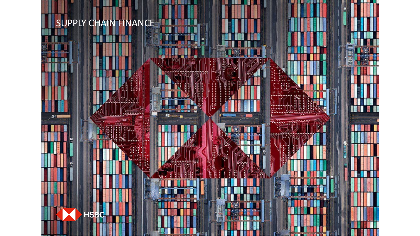# SUPPLY CHAIN FINANCE



<u>. B. B. II.</u>

198861586**005** 

**The Company's Company** 

н.

Р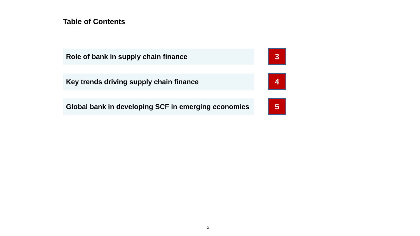**Table of Contents**

| Role of bank in supply chain finance                | 3 <sup>°</sup>     |
|-----------------------------------------------------|--------------------|
| Key trends driving supply chain finance             | $\left  \right $ 4 |
| Global bank in developing SCF in emerging economies | 5 <sup>°</sup>     |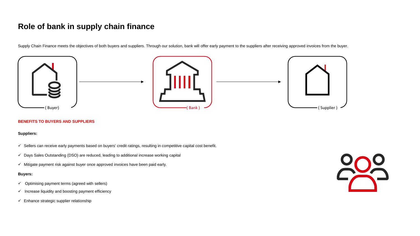# **Role of bank in supply chain finance**

Supply Chain Finance meets the objectives of both buyers and suppliers. Through our solution, bank will offer early payment to the suppliers after receiving approved invoices from the buyer.







#### **BENEFITS TO BUYERS AND SUPPLIERS**

#### **Suppliers:**

- $\checkmark$  Sellers can receive early payments based on buyers' credit ratings, resulting in competitive capital cost benefit.
- $\checkmark$  Days Sales Outstanding (DSO) are reduced, leading to additional increase working capital
- Mitigate payment risk against buyer once approved invoices have been paid early*.*

#### **Buyers:**

- $\checkmark$  Optimising payment terms (agreed with sellers)
- $\checkmark$  Increase liquidity and boosting payment efficiency
- $\checkmark$  Enhance strategic supplier relationship

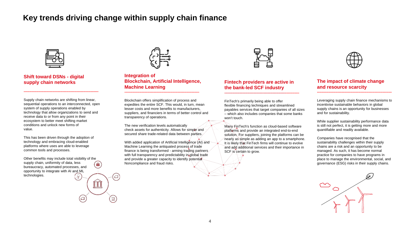## **Key trends driving change within supply chain finance**

G

IJ

 $\overline{\mathbb{H}}$  i

6



**Shift toward DSNs - digital supply chain networks**

Supply chain networks are shifting from linear, sequential operations to an interconnected, open system of supply operations enabled by technology that allow organizations to send and receive data to or from any point in their ecosystem to better meet shifting market conditions and unlock new forms of value.

**-----------------------------------------------------------------**

This has been driven through the adoption of technology and embracing cloud-enabled platforms where uses are able to leverage common tools and processes.

Other benefits may include total visibility of the supply chain, uniformity of data, less **THE** bureaucracy, automated processes, and opportunity to integrate with AI and ML technologies.



**Integration of Blockchain, Artificial Intelligence, Machine Learning**

**-----------------------------------------------------------------**

Blockchain offers simplification of process and expedites the entire SCF. This would, in turn, mean lesser costs and more benefits to manufacturers, suppliers, and financiers in terms of better control and transparency of operations.

The new verification levels automatically check assets for authenticity. Allows for simple and secured share trade-related data between parties.

With added application of Artificial Intelligence (AI) and Machine Learning the antiquated process of trade finance is being transformed - arming trading partners with full transparency and predictability in global trade and provide a greater capacity to identify potential Noncompliance and fraud risks.



#### **Fintech providers are active in the bank-led SCF industry**

**-----------------------------------------------------------------**

FinTech's primarily being able to offer flexible financing techniques and streamlined payables services that target companies of all sizes – which also includes companies that some banks won't touch.

Many FinTech's function as cloud-based software platforms and provide an integrated end-to-end solution. For suppliers, joining the platforms can be nearly as simple as adding an app to a smartphone. It is likely that FinTech firms will continue to evolve and add additional services and their importance in SCF is certain to grow.



#### **The impact of climate change and resource scarcity**

Leveraging supply chain finance mechanisms to incentivise sustainable behaviors in global supply chains is an opportunity for businesses and for sustainability.

**-----------------------------------------------------------------**

While supplier sustainability performance data is still not perfect, it is getting more and more quantifiable and readily available.

Companies have recognised that the sustainability challenges within their supply chains are a risk and an opportunity to be managed. As such, it has become normal practice for companies to have programs in place to manage the environmental, social, and governance (ESG) risks in their supply chains.

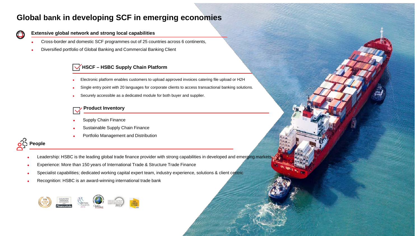### **Global bank in developing SCF in emerging economies**

### **Extensive global network and strong local capabilities**

- Cross-border and domestic SCF programmes out of 25 countries across 6 continents,
- Diversified portfolio of Global Banking and Commercial Banking Client

### **HSCF – HSBC Supply Chain Platform**

- Electronic platform enables customers to upload approved invoices catering file upload or H2H
- Single entry point with 20 languages for corporate clients to access transactional banking solutions.
- Securely accessible as a dedicated module for both buyer and supplier.

### **Product Inventory**

- Supply Chain Finance
- Sustainable Supply Chain Finance
- Portfolio Management and Distribution



 $\Box$ 

- Leadership: HSBC is the leading global trade finance provider with strong capabilities in developed and emerging markets
- Experience: More than 150 years of International Trade & Structure Trade Finance
- Specialist capabilities; dedicated working capital expert team, industry experience, solutions & client centric
- Recognition: HSBC is an award-winning international trade bank